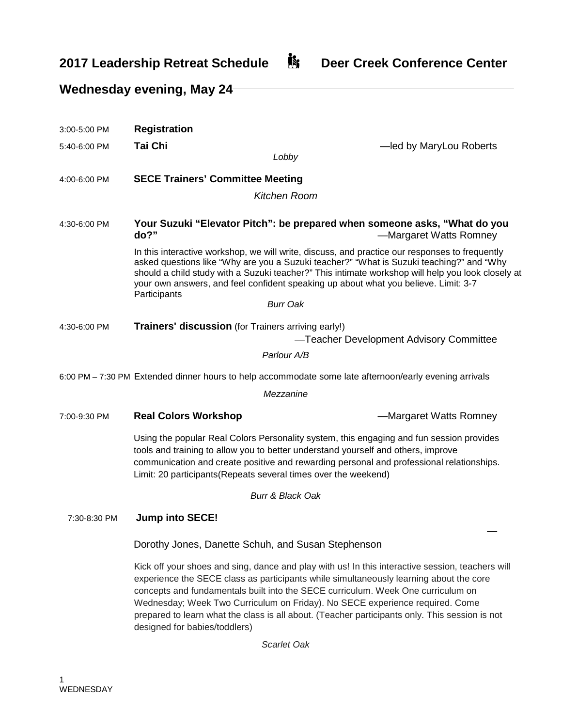## **2017 Leadership Retreat Schedule**  $\mathbf{\mathring{B}}$  **Deer Creek Conference Center**

## **Wednesday evening, May 24** 3:00-5:00 PM **Registration** 5:40-6:00 PM **Tai Chi** —led by MaryLou Roberts *Lobby* 4:00-6:00 PM **SECE Trainers' Committee Meeting** *Kitchen Room* 4:30-6:00 PM **Your Suzuki "Elevator Pitch": be prepared when someone asks, "What do you do?" and a set of the set of the set of the set of the set of the set of the set of the set of the set of the set of the set of the set of the set of the set of the set of the set of the set of the set of the set of the** In this interactive workshop, we will write, discuss, and practice our responses to frequently asked questions like "Why are you a Suzuki teacher?" "What is Suzuki teaching?" and "Why should a child study with a Suzuki teacher?" This intimate workshop will help you look closely at your own answers, and feel confident speaking up about what you believe. Limit: 3-7 **Participants** *Burr Oak* 4:30-6:00 PM **Trainers' discussion** (for Trainers arriving early!) —Teacher Development Advisory Committee *Parlour A/B* 6:00 PM – 7:30 PM Extended dinner hours to help accommodate some late afternoon/early evening arrivals *Mezzanine* 7:00-9:30 PM **Real Colors Workshop** —Margaret Watts Romney Using the popular Real Colors Personality system, this engaging and fun session provides tools and training to allow you to better understand yourself and others, improve communication and create positive and rewarding personal and professional relationships. Limit: 20 participants(Repeats several times over the weekend) *Burr & Black Oak* 7:30-8:30 PM **Jump into SECE!** — Dorothy Jones, Danette Schuh, and Susan Stephenson Kick off your shoes and sing, dance and play with us! In this interactive session, teachers will experience the SECE class as participants while simultaneously learning about the core concepts and fundamentals built into the SECE curriculum. Week One curriculum on Wednesday; Week Two Curriculum on Friday). No SECE experience required. Come prepared to learn what the class is all about. (Teacher participants only. This session is not

*Scarlet Oak*

designed for babies/toddlers)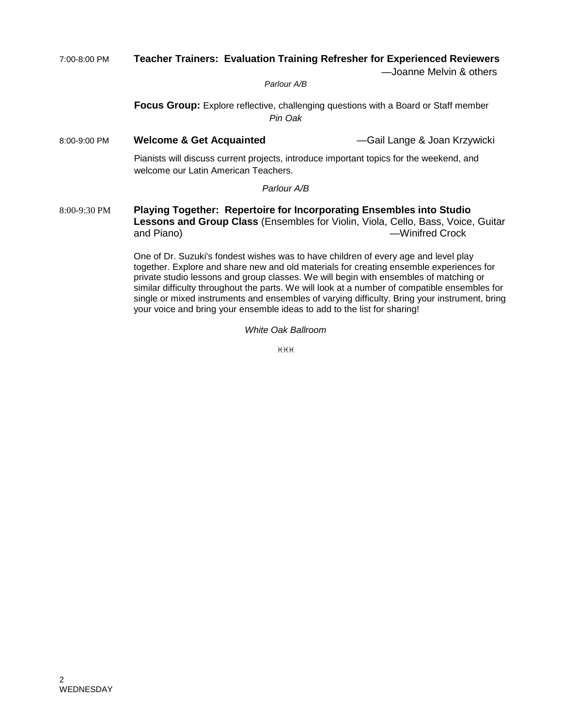## 7:00-8:00 PM **Teacher Trainers: Evaluation Training Refresher for Experienced Reviewers**

—Joanne Melvin & others

*Parlour A/B*

**Focus Group:** Explore reflective, challenging questions with a Board or Staff member *Pin Oak*

8:00-9:00 PM **Welcome & Get Acquainted** —Gail Lange & Joan Krzywicki

Pianists will discuss current projects, introduce important topics for the weekend, and welcome our Latin American Teachers.

#### *Parlour A/B*

8:00-9:30 PM **Playing Together: Repertoire for Incorporating Ensembles into Studio Lessons and Group Class** (Ensembles for Violin, Viola, Cello, Bass, Voice, Guitar and Piano) —Winifred Crock

> One of Dr. Suzuki's fondest wishes was to have children of every age and level play together. Explore and share new and old materials for creating ensemble experiences for private studio lessons and group classes. We will begin with ensembles of matching or similar difficulty throughout the parts. We will look at a number of compatible ensembles for single or mixed instruments and ensembles of varying difficulty. Bring your instrument, bring your voice and bring your ensemble ideas to add to the list for sharing!

> > *White Oak Ballroom*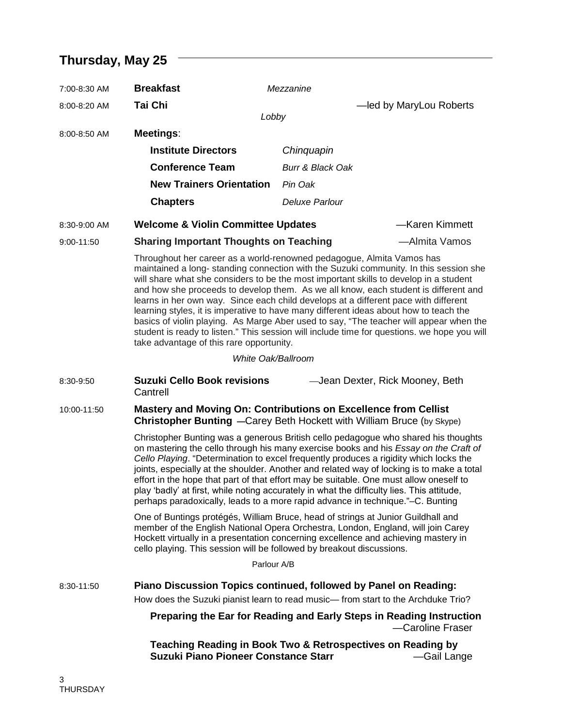# **Thursday, May 25**

| 7:00-8:30 AM | <b>Breakfast</b>                                                                                                                                                                                                                                                                                                                                                                                                                                                                                                                                                                                                                                                                                                                                                                              | Mezzanine                       |                         |
|--------------|-----------------------------------------------------------------------------------------------------------------------------------------------------------------------------------------------------------------------------------------------------------------------------------------------------------------------------------------------------------------------------------------------------------------------------------------------------------------------------------------------------------------------------------------------------------------------------------------------------------------------------------------------------------------------------------------------------------------------------------------------------------------------------------------------|---------------------------------|-------------------------|
| 8:00-8:20 AM | <b>Tai Chi</b>                                                                                                                                                                                                                                                                                                                                                                                                                                                                                                                                                                                                                                                                                                                                                                                |                                 | -led by MaryLou Roberts |
| 8:00-8:50 AM | Lobby<br>Meetings:                                                                                                                                                                                                                                                                                                                                                                                                                                                                                                                                                                                                                                                                                                                                                                            |                                 |                         |
|              | <b>Institute Directors</b>                                                                                                                                                                                                                                                                                                                                                                                                                                                                                                                                                                                                                                                                                                                                                                    | Chinquapin                      |                         |
|              | <b>Conference Team</b>                                                                                                                                                                                                                                                                                                                                                                                                                                                                                                                                                                                                                                                                                                                                                                        | <b>Burr &amp; Black Oak</b>     |                         |
|              | <b>New Trainers Orientation</b>                                                                                                                                                                                                                                                                                                                                                                                                                                                                                                                                                                                                                                                                                                                                                               | Pin Oak                         |                         |
|              | <b>Chapters</b>                                                                                                                                                                                                                                                                                                                                                                                                                                                                                                                                                                                                                                                                                                                                                                               | Deluxe Parlour                  |                         |
| 8:30-9:00 AM | <b>Welcome &amp; Violin Committee Updates</b>                                                                                                                                                                                                                                                                                                                                                                                                                                                                                                                                                                                                                                                                                                                                                 |                                 | -Karen Kimmett          |
| 9:00-11:50   | <b>Sharing Important Thoughts on Teaching</b>                                                                                                                                                                                                                                                                                                                                                                                                                                                                                                                                                                                                                                                                                                                                                 |                                 | -Almita Vamos           |
|              | Throughout her career as a world-renowned pedagogue, Almita Vamos has<br>maintained a long- standing connection with the Suzuki community. In this session she<br>will share what she considers to be the most important skills to develop in a student<br>and how she proceeds to develop them. As we all know, each student is different and<br>learns in her own way. Since each child develops at a different pace with different<br>learning styles, it is imperative to have many different ideas about how to teach the<br>basics of violin playing. As Marge Aber used to say, "The teacher will appear when the<br>student is ready to listen." This session will include time for questions. we hope you will<br>take advantage of this rare opportunity.                           |                                 |                         |
|              | White Oak/Ballroom                                                                                                                                                                                                                                                                                                                                                                                                                                                                                                                                                                                                                                                                                                                                                                            |                                 |                         |
| 8:30-9:50    | <b>Suzuki Cello Book revisions</b><br>Cantrell                                                                                                                                                                                                                                                                                                                                                                                                                                                                                                                                                                                                                                                                                                                                                | -Jean Dexter, Rick Mooney, Beth |                         |
| 10:00-11:50  | Mastery and Moving On: Contributions on Excellence from Cellist<br><b>Christopher Bunting</b> -Carey Beth Hockett with William Bruce (by Skype)<br>Christopher Bunting was a generous British cello pedagogue who shared his thoughts<br>on mastering the cello through his many exercise books and his Essay on the Craft of<br>Cello Playing. "Determination to excel frequently produces a rigidity which locks the<br>joints, especially at the shoulder. Another and related way of locking is to make a total<br>effort in the hope that part of that effort may be suitable. One must allow oneself to<br>play 'badly' at first, while noting accurately in what the difficulty lies. This attitude,<br>perhaps paradoxically, leads to a more rapid advance in technique."–C. Bunting |                                 |                         |
|              |                                                                                                                                                                                                                                                                                                                                                                                                                                                                                                                                                                                                                                                                                                                                                                                               |                                 |                         |
|              | One of Buntings protégés, William Bruce, head of strings at Junior Guildhall and<br>member of the English National Opera Orchestra, London, England, will join Carey<br>Hockett virtually in a presentation concerning excellence and achieving mastery in<br>cello playing. This session will be followed by breakout discussions.                                                                                                                                                                                                                                                                                                                                                                                                                                                           |                                 |                         |
|              | Parlour A/B                                                                                                                                                                                                                                                                                                                                                                                                                                                                                                                                                                                                                                                                                                                                                                                   |                                 |                         |
| 8:30-11:50   | Piano Discussion Topics continued, followed by Panel on Reading:                                                                                                                                                                                                                                                                                                                                                                                                                                                                                                                                                                                                                                                                                                                              |                                 |                         |
|              | How does the Suzuki pianist learn to read music— from start to the Archduke Trio?                                                                                                                                                                                                                                                                                                                                                                                                                                                                                                                                                                                                                                                                                                             |                                 |                         |
|              | Preparing the Ear for Reading and Early Steps in Reading Instruction                                                                                                                                                                                                                                                                                                                                                                                                                                                                                                                                                                                                                                                                                                                          |                                 | -Caroline Fraser        |
|              | Teaching Reading in Book Two & Retrospectives on Reading by<br><b>Suzuki Piano Pioneer Constance Starr</b>                                                                                                                                                                                                                                                                                                                                                                                                                                                                                                                                                                                                                                                                                    |                                 | —Gail Lange             |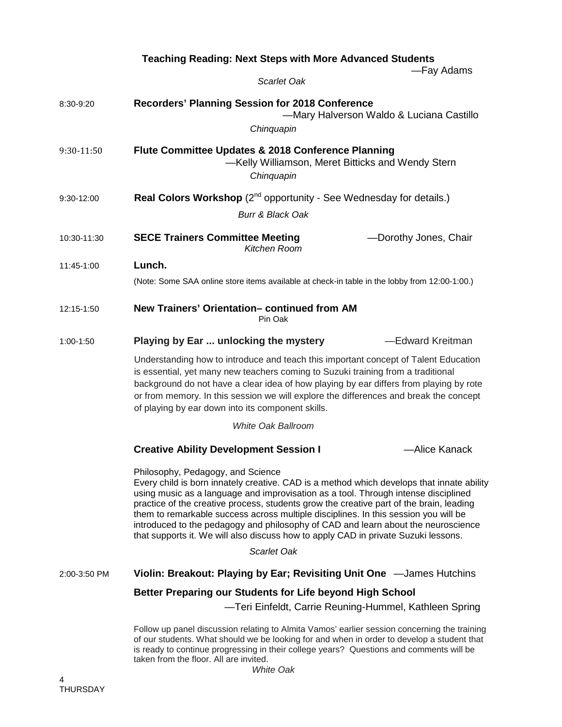|              | <b>Teaching Reading: Next Steps with More Advanced Students</b>                                                                                                                                                                                                                                                                                                                                                                                                                                                                                                                   |  |  |
|--------------|-----------------------------------------------------------------------------------------------------------------------------------------------------------------------------------------------------------------------------------------------------------------------------------------------------------------------------------------------------------------------------------------------------------------------------------------------------------------------------------------------------------------------------------------------------------------------------------|--|--|
|              | -Fay Adams<br>Scarlet Oak                                                                                                                                                                                                                                                                                                                                                                                                                                                                                                                                                         |  |  |
| 8:30-9:20    | Recorders' Planning Session for 2018 Conference<br>-Mary Halverson Waldo & Luciana Castillo<br>Chinquapin                                                                                                                                                                                                                                                                                                                                                                                                                                                                         |  |  |
| 9:30-11:50   | Flute Committee Updates & 2018 Conference Planning<br>-Kelly Williamson, Meret Bitticks and Wendy Stern<br>Chinquapin                                                                                                                                                                                                                                                                                                                                                                                                                                                             |  |  |
| 9:30-12:00   | Real Colors Workshop (2 <sup>nd</sup> opportunity - See Wednesday for details.)<br><b>Burr &amp; Black Oak</b>                                                                                                                                                                                                                                                                                                                                                                                                                                                                    |  |  |
| 10:30-11:30  | <b>SECE Trainers Committee Meeting</b><br>-Dorothy Jones, Chair<br>Kitchen Room                                                                                                                                                                                                                                                                                                                                                                                                                                                                                                   |  |  |
| 11:45-1:00   | Lunch.<br>(Note: Some SAA online store items available at check-in table in the lobby from 12:00-1:00.)                                                                                                                                                                                                                                                                                                                                                                                                                                                                           |  |  |
| 12:15-1:50   | New Trainers' Orientation-continued from AM<br>Pin Oak                                                                                                                                                                                                                                                                                                                                                                                                                                                                                                                            |  |  |
| 1:00-1:50    | -Edward Kreitman<br>Playing by Ear  unlocking the mystery                                                                                                                                                                                                                                                                                                                                                                                                                                                                                                                         |  |  |
|              | Understanding how to introduce and teach this important concept of Talent Education<br>is essential, yet many new teachers coming to Suzuki training from a traditional<br>background do not have a clear idea of how playing by ear differs from playing by rote<br>or from memory. In this session we will explore the differences and break the concept<br>of playing by ear down into its component skills.                                                                                                                                                                   |  |  |
|              | <b>White Oak Ballroom</b>                                                                                                                                                                                                                                                                                                                                                                                                                                                                                                                                                         |  |  |
|              | <b>Creative Ability Development Session I</b><br>-Alice Kanack                                                                                                                                                                                                                                                                                                                                                                                                                                                                                                                    |  |  |
|              | Philosophy, Pedagogy, and Science<br>Every child is born innately creative. CAD is a method which develops that innate ability<br>using music as a language and improvisation as a tool. Through intense disciplined<br>practice of the creative process, students grow the creative part of the brain, leading<br>them to remarkable success across multiple disciplines. In this session you will be<br>introduced to the pedagogy and philosophy of CAD and learn about the neuroscience<br>that supports it. We will also discuss how to apply CAD in private Suzuki lessons. |  |  |
|              | Scarlet Oak                                                                                                                                                                                                                                                                                                                                                                                                                                                                                                                                                                       |  |  |
| 2:00-3:50 PM | Violin: Breakout: Playing by Ear; Revisiting Unit One -James Hutchins                                                                                                                                                                                                                                                                                                                                                                                                                                                                                                             |  |  |
|              | Better Preparing our Students for Life beyond High School<br>-Teri Einfeldt, Carrie Reuning-Hummel, Kathleen Spring                                                                                                                                                                                                                                                                                                                                                                                                                                                               |  |  |
|              | Follow up panel discussion relating to Almita Vamos' earlier session concerning the training<br>of our students. What should we be looking for and when in order to develop a student that<br>is ready to continue progressing in their college years? Questions and comments will be<br>taken from the floor. All are invited.                                                                                                                                                                                                                                                   |  |  |

*White Oak*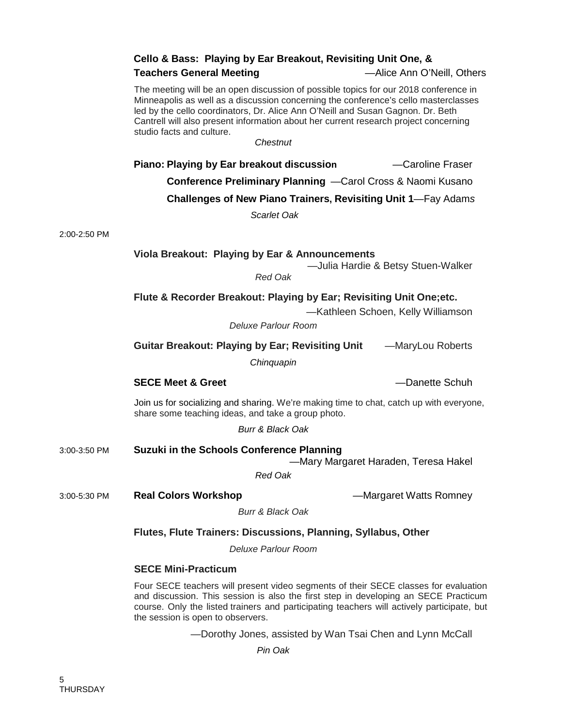#### **Cello & Bass: Playing by Ear Breakout, Revisiting Unit One, &**

#### **Teachers General Meeting** —Alice Ann O'Neill, Others

The meeting will be an open discussion of possible topics for our 2018 conference in Minneapolis as well as a discussion concerning the conference's cello masterclasses led by the cello coordinators, Dr. Alice Ann O'Neill and Susan Gagnon. Dr. Beth Cantrell will also present information about her current research project concerning studio facts and culture.

*Chestnut*

**Piano: Playing by Ear breakout discussion — Caroline Fraser** 

**Conference Preliminary Planning** —Carol Cross & Naomi Kusano

**Challenges of New Piano Trainers, Revisiting Unit 1**—Fay Adam*s*

*Scarlet Oak*

2:00-2:50 PM

#### **Viola Breakout: Playing by Ear & Announcements**

—Julia Hardie & Betsy Stuen-Walker

*Red Oak*

#### **Flute & Recorder Breakout: Playing by Ear; Revisiting Unit One;etc.**

—Kathleen Schoen, Kelly Williamson

*Deluxe Parlour Room*

**Guitar Breakout: Playing by Ear; Revisiting Unit** —MaryLou Roberts

*Chinquapin*

#### **SECE Meet & Greet Access 20 Access 20 Access 20 Access 20 Access 20 Access 20 Access 20 Access 20 Access 20 Access 20 Access 20 Access 20 Access 20 Access 20 Access 20 Access 20 Access 20 Access 20 Access 20 Access 20 A**

Join us for socializing and sharing. We're making time to chat, catch up with everyone, share some teaching ideas, and take a group photo.

*Burr & Black Oak*

3:00-3:50 PM **Suzuki in the Schools Conference Planning**  —Mary Margaret Haraden, Teresa Hakel

*Red Oak*

3:00-5:30 PM **Real Colors Workshop** —Margaret Watts Romney

*Burr & Black Oak*

#### **Flutes, Flute Trainers: Discussions, Planning, Syllabus, Other**

*Deluxe Parlour Room*

#### **SECE Mini-Practicum**

Four SECE teachers will present video segments of their SECE classes for evaluation and discussion. This session is also the first step in developing an SECE Practicum course. Only the listed trainers and participating teachers will actively participate, but the session is open to observers.

—Dorothy Jones, assisted by Wan Tsai Chen and Lynn McCall

*Pin Oak*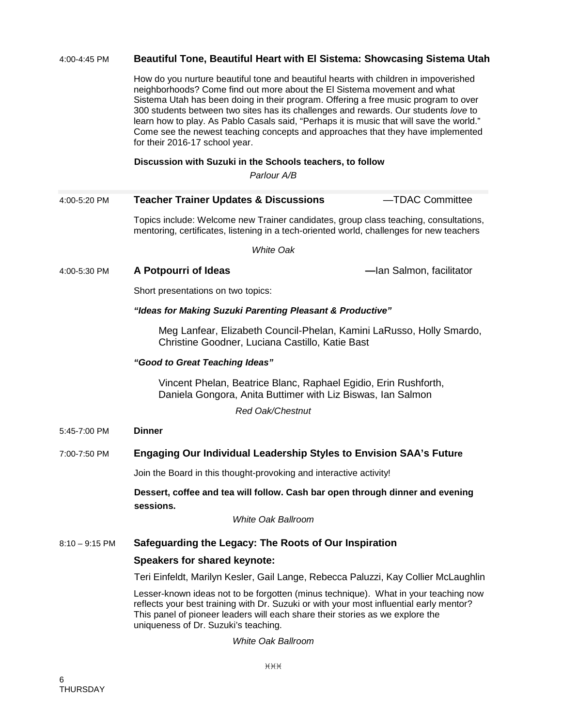#### 4:00-4:45 PM **Beautiful Tone, Beautiful Heart with El Sistema: Showcasing Sistema Utah**

How do you nurture beautiful tone and beautiful hearts with children in impoverished neighborhoods? Come find out more about the El Sistema movement and what Sistema Utah has been doing in their program. Offering a free music program to over 300 students between two sites has its challenges and rewards. Our students *love* to learn how to play. As Pablo Casals said, "Perhaps it is music that will save the world." Come see the newest teaching concepts and approaches that they have implemented for their 2016-17 school year.

#### **Discussion with Suzuki in the Schools teachers, to follow**

*Parlour A/B*

#### 4:00-5:20 PM **Teacher Trainer Updates & Discussions** —TDAC Committee

Topics include: Welcome new Trainer candidates, group class teaching, consultations, mentoring, certificates, listening in a tech-oriented world, challenges for new teachers

*White Oak*

4:00-5:30 PM **A Potpourri of Ideas —**Ian Salmon, facilitator

Short presentations on two topics:

#### *"Ideas for Making Suzuki Parenting Pleasant & Productive"*

Meg Lanfear, Elizabeth Council-Phelan, Kamini LaRusso, Holly Smardo, Christine Goodner, Luciana Castillo, Katie Bast

#### *"Good to Great Teaching Ideas"*

Vincent Phelan, Beatrice Blanc, Raphael Egidio, Erin Rushforth, Daniela Gongora, Anita Buttimer with Liz Biswas, Ian Salmon

*Red Oak/Chestnut*

5:45-7:00 PM **Dinner**

#### 7:00-7:50 PM **Engaging Our Individual Leadership Styles to Envision SAA's Future**

Join the Board in this thought-provoking and interactive activity!

#### **Dessert, coffee and tea will follow. Cash bar open through dinner and evening sessions.**

*White Oak Ballroom*

#### 8:10 – 9:15 PM **Safeguarding the Legacy: The Roots of Our Inspiration**

#### **Speakers for shared keynote:**

Teri Einfeldt, Marilyn Kesler, Gail Lange, Rebecca Paluzzi, Kay Collier McLaughlin

Lesser-known ideas not to be forgotten (minus technique). What in your teaching now reflects your best training with Dr. Suzuki or with your most influential early mentor? This panel of pioneer leaders will each share their stories as we explore the uniqueness of Dr. Suzuki's teaching.

*White Oak Ballroom*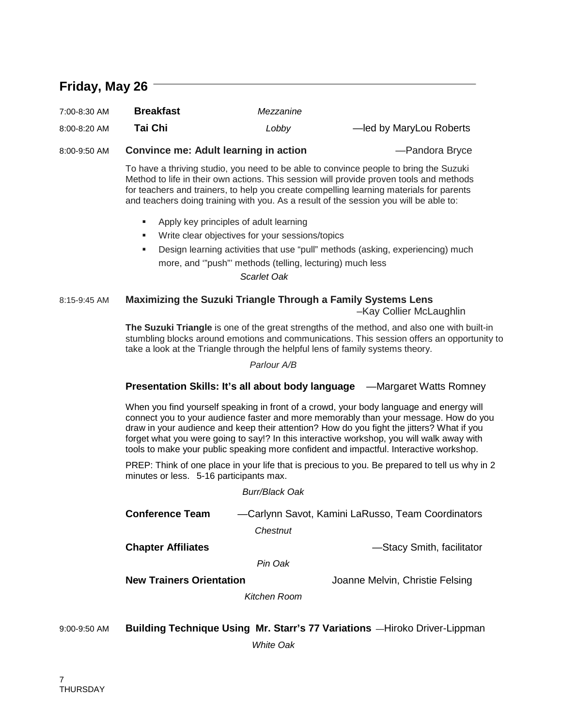## **Friday, May 26**

| 7:00-8:30 AM | <b>Breakfast</b> | Mezzanine |                         |
|--------------|------------------|-----------|-------------------------|
| 8:00-8:20 AM | Tai Chi          | Lobby     | -led by MaryLou Roberts |

8:00-9:50 AM **Convince me: Adult learning in action** —Pandora Bryce

To have a thriving studio, you need to be able to convince people to bring the Suzuki Method to life in their own actions. This session will provide proven tools and methods for teachers and trainers, to help you create compelling learning materials for parents

and teachers doing training with you. As a result of the session you will be able to:

- **Apply key principles of adult learning**
- Write clear objectives for your sessions/topics
- Design learning activities that use "pull" methods (asking, experiencing) much more, and '"push"' methods (telling, lecturing) much less

*Scarlet Oak*

#### 8:15-9:45 AM **Maximizing the Suzuki Triangle Through a Family Systems Lens**

–Kay Collier McLaughlin

**The Suzuki Triangle** is one of the great strengths of the method, and also one with built-in stumbling blocks around emotions and communications. This session offers an opportunity to take a look at the Triangle through the helpful lens of family systems theory.

*Parlour A/B*

#### **Presentation Skills: It's all about body language** —Margaret Watts Romney

When you find yourself speaking in front of a crowd, your body language and energy will connect you to your audience faster and more memorably than your message. How do you draw in your audience and keep their attention? How do you fight the jitters? What if you forget what you were going to say!? In this interactive workshop, you will walk away with tools to make your public speaking more confident and impactful. Interactive workshop.

PREP: Think of one place in your life that is precious to you. Be prepared to tell us why in 2 minutes or less. 5-16 participants max.

#### *Burr/Black Oak*

| <b>Conference Team</b> | -Carlynn Savot, Kamini LaRusso, Team Coordinators |
|------------------------|---------------------------------------------------|
|                        | Chestnut                                          |
| --                     | $\sim$ $\sim$ $\sim$ $\sim$ $\sim$                |

**Chapter Affiliates Example 20** and the settential state of the Stacy Smith, facilitator

*Pin Oak*

**New Trainers Orientation New Trainers Orientation** Joanne Melvin, Christie Felsing

*Kitchen Room*

#### 9:00-9:50 AM **Building Technique Using Mr. Starr's 77 Variations** —Hiroko Driver-Lippman

*White Oak*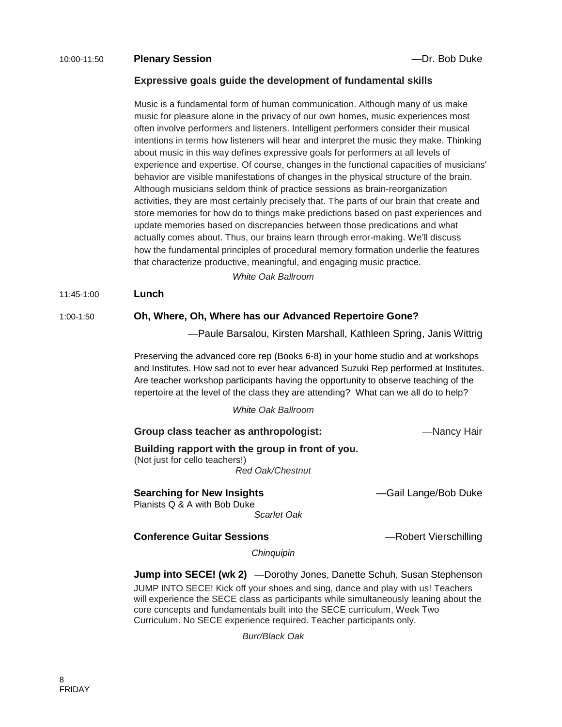#### 10:00-11:50 **Plenary Session** —Dr. Bob Duke

#### **Expressive goals guide the development of fundamental skills**

Music is a fundamental form of human communication. Although many of us make music for pleasure alone in the privacy of our own homes, music experiences most often involve performers and listeners. Intelligent performers consider their musical intentions in terms how listeners will hear and interpret the music they make. Thinking about music in this way defines expressive goals for performers at all levels of experience and expertise. Of course, changes in the functional capacities of musicians' behavior are visible manifestations of changes in the physical structure of the brain. Although musicians seldom think of practice sessions as brain-reorganization activities, they are most certainly precisely that. The parts of our brain that create and store memories for how do to things make predictions based on past experiences and update memories based on discrepancies between those predications and what actually comes about. Thus, our brains learn through error-making. We'll discuss how the fundamental principles of procedural memory formation underlie the features that characterize productive, meaningful, and engaging music practice.

*White Oak Ballroom*

#### 11:45-1:00 **Lunch**

#### 1:00-1:50 **Oh, Where, Oh, Where has our Advanced Repertoire Gone?**

—Paule Barsalou, Kirsten Marshall, Kathleen Spring, Janis Wittrig

Preserving the advanced core rep (Books 6-8) in your home studio and at workshops and Institutes. How sad not to ever hear advanced Suzuki Rep performed at Institutes. Are teacher workshop participants having the opportunity to observe teaching of the repertoire at the level of the class they are attending? What can we all do to help?

*White Oak Ballroom*

**Group class teacher as anthropologist:** —Nancy Hair

#### **Building rapport with the group in front of you.**

(Not just for cello teachers!) *Red Oak/Chestnut*

**Searching for New Insights Example 20 The Construction Constraint Construction Constraint Construction Constraint** Pianists Q & A with Bob Duke

#### **Conference Guitar Sessions Example 20 Terms** —Robert Vierschilling

*Chinquipin*

 *Scarlet Oak*

**Jump into SECE! (wk 2)** —Dorothy Jones, Danette Schuh, Susan Stephenson

JUMP INTO SECE! Kick off your shoes and sing, dance and play with us! Teachers will experience the SECE class as participants while simultaneously leaning about the core concepts and fundamentals built into the SECE curriculum, Week Two Curriculum. No SECE experience required. Teacher participants only.

*Burr/Black Oak*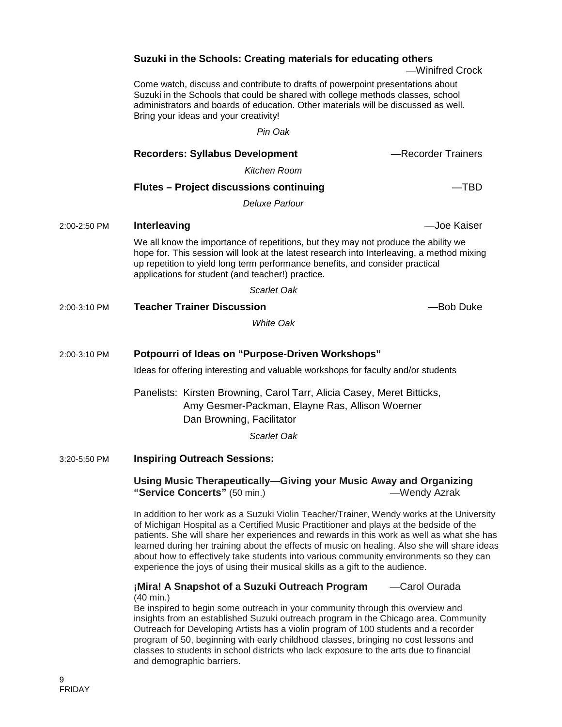|              | Suzuki in the Schools: Creating materials for educating others                                                                                                                                                                                                                                                         | -Winifred Crock    |
|--------------|------------------------------------------------------------------------------------------------------------------------------------------------------------------------------------------------------------------------------------------------------------------------------------------------------------------------|--------------------|
|              | Come watch, discuss and contribute to drafts of powerpoint presentations about<br>Suzuki in the Schools that could be shared with college methods classes, school<br>administrators and boards of education. Other materials will be discussed as well.<br>Bring your ideas and your creativity!                       |                    |
|              | Pin Oak                                                                                                                                                                                                                                                                                                                |                    |
|              | <b>Recorders: Syllabus Development</b>                                                                                                                                                                                                                                                                                 | -Recorder Trainers |
|              | Kitchen Room                                                                                                                                                                                                                                                                                                           |                    |
|              | <b>Flutes - Project discussions continuing</b>                                                                                                                                                                                                                                                                         | —TBD               |
|              | <b>Deluxe Parlour</b>                                                                                                                                                                                                                                                                                                  |                    |
| 2:00-2:50 PM | Interleaving                                                                                                                                                                                                                                                                                                           | -Joe Kaiser        |
|              | We all know the importance of repetitions, but they may not produce the ability we<br>hope for. This session will look at the latest research into Interleaving, a method mixing<br>up repetition to yield long term performance benefits, and consider practical<br>applications for student (and teacher!) practice. |                    |
|              | Scarlet Oak                                                                                                                                                                                                                                                                                                            |                    |
| 2:00-3:10 PM | <b>Teacher Trainer Discussion</b>                                                                                                                                                                                                                                                                                      | -Bob Duke          |
|              | <b>White Oak</b>                                                                                                                                                                                                                                                                                                       |                    |
| 2:00-3:10 PM | Potpourri of Ideas on "Purpose-Driven Workshops"                                                                                                                                                                                                                                                                       |                    |
|              | Ideas for offering interesting and valuable workshops for faculty and/or students                                                                                                                                                                                                                                      |                    |
|              | Panelists: Kirsten Browning, Carol Tarr, Alicia Casey, Meret Bitticks,<br>Amy Gesmer-Packman, Elayne Ras, Allison Woerner<br>Dan Browning, Facilitator                                                                                                                                                                 |                    |
|              | Scarlet Oak                                                                                                                                                                                                                                                                                                            |                    |
| 3:20-5:50 PM | <b>Inspiring Outreach Sessions:</b>                                                                                                                                                                                                                                                                                    |                    |
|              | Using Music Therapeutically-Giving your Music Away and Organizing<br>"Service Concerts" (50 min.)                                                                                                                                                                                                                      | -Wendy Azrak       |
|              | In addition to her work as a Suzuki Violin Teacher/Trainer Wendy works at the Universit                                                                                                                                                                                                                                |                    |

) her work as a Suzuki Violin Teacher/Trainer, Wendy works at the University of Michigan Hospital as a Certified Music Practitioner and plays at the bedside of the patients. She will share her experiences and rewards in this work as well as what she has learned during her training about the effects of music on healing. Also she will share ideas about how to effectively take students into various community environments so they can experience the joys of using their musical skills as a gift to the audience.

**¡Mira! A Snapshot of a Suzuki Outreach Program** —Carol Ourada (40 min.)

Be inspired to begin some outreach in your community through this overview and insights from an established Suzuki outreach program in the Chicago area. Community Outreach for Developing Artists has a violin program of 100 students and a recorder program of 50, beginning with early childhood classes, bringing no cost lessons and classes to students in school districts who lack exposure to the arts due to financial and demographic barriers.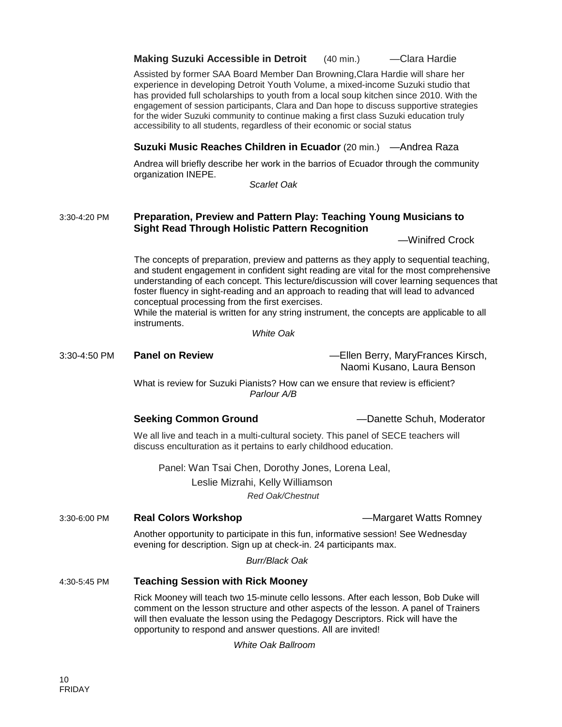#### **Making Suzuki Accessible in Detroit** (40 min.) —Clara Hardie

Assisted by former SAA Board Member Dan Browning,Clara Hardie will share her experience in developing Detroit Youth Volume, a mixed-income Suzuki studio that has provided full scholarships to youth from a local soup kitchen since 2010. With the engagement of session participants, Clara and Dan hope to discuss supportive strategies for the wider Suzuki community to continue making a first class Suzuki education truly accessibility to all students, regardless of their economic or social status

#### **Suzuki Music Reaches Children in Ecuador** (20 min.) —Andrea Raza

Andrea will briefly describe her work in the barrios of Ecuador through the community organization INEPE.

*Scarlet Oak*

#### 3:30-4:20 PM **Preparation, Preview and Pattern Play: Teaching Young Musicians to Sight Read Through Holistic Pattern Recognition**

—Winifred Crock

The concepts of preparation, preview and patterns as they apply to sequential teaching, and student engagement in confident sight reading are vital for the most comprehensive understanding of each concept. This lecture/discussion will cover learning sequences that foster fluency in sight-reading and an approach to reading that will lead to advanced conceptual processing from the first exercises.

While the material is written for any string instrument, the concepts are applicable to all instruments.

*White Oak*

#### 3:30-4:50 PM **Panel on Review** —Ellen Berry, MaryFrances Kirsch,

Naomi Kusano, Laura Benson

What is review for Suzuki Pianists? How can we ensure that review is efficient? *Parlour A/B*

**Seeking Common Ground** —Danette Schuh, Moderator

We all live and teach in a multi-cultural society. This panel of SECE teachers will discuss enculturation as it pertains to early childhood education.

Panel: Wan Tsai Chen, Dorothy Jones, Lorena Leal, Leslie Mizrahi, Kelly Williamson *Red Oak/Chestnut*

3:30-6:00 PM **Real Colors Workshop** —Margaret Watts Romney

Another opportunity to participate in this fun, informative session! See Wednesday evening for description. Sign up at check-in. 24 participants max.

 *Burr/Black Oak*

#### 4:30-5:45 PM **Teaching Session with Rick Mooney**

Rick Mooney will teach two 15-minute cello lessons. After each lesson, Bob Duke will comment on the lesson structure and other aspects of the lesson. A panel of Trainers will then evaluate the lesson using the Pedagogy Descriptors. Rick will have the opportunity to respond and answer questions. All are invited!

*White Oak Ballroom*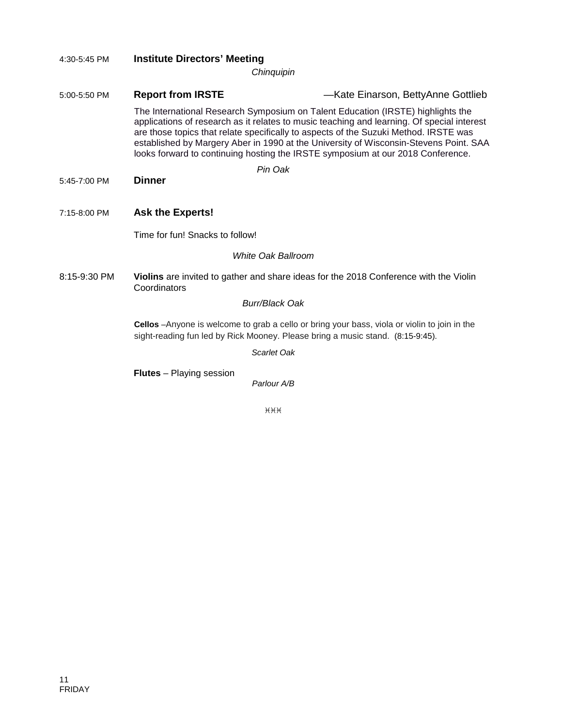| 4:30-5:45 PM | <b>Institute Directors' Meeting</b>                                                                                                                                            |                                                                                                                                                                                                                                                                                                                                                                                                                                                   |  |  |
|--------------|--------------------------------------------------------------------------------------------------------------------------------------------------------------------------------|---------------------------------------------------------------------------------------------------------------------------------------------------------------------------------------------------------------------------------------------------------------------------------------------------------------------------------------------------------------------------------------------------------------------------------------------------|--|--|
| Chinquipin   |                                                                                                                                                                                |                                                                                                                                                                                                                                                                                                                                                                                                                                                   |  |  |
| 5:00-5:50 PM | <b>Report from IRSTE</b>                                                                                                                                                       | -Kate Einarson, BettyAnne Gottlieb                                                                                                                                                                                                                                                                                                                                                                                                                |  |  |
|              |                                                                                                                                                                                | The International Research Symposium on Talent Education (IRSTE) highlights the<br>applications of research as it relates to music teaching and learning. Of special interest<br>are those topics that relate specifically to aspects of the Suzuki Method. IRSTE was<br>established by Margery Aber in 1990 at the University of Wisconsin-Stevens Point. SAA<br>looks forward to continuing hosting the IRSTE symposium at our 2018 Conference. |  |  |
|              |                                                                                                                                                                                | Pin Oak                                                                                                                                                                                                                                                                                                                                                                                                                                           |  |  |
| 5:45-7:00 PM | <b>Dinner</b>                                                                                                                                                                  |                                                                                                                                                                                                                                                                                                                                                                                                                                                   |  |  |
|              |                                                                                                                                                                                |                                                                                                                                                                                                                                                                                                                                                                                                                                                   |  |  |
| 7:15-8:00 PM | <b>Ask the Experts!</b>                                                                                                                                                        |                                                                                                                                                                                                                                                                                                                                                                                                                                                   |  |  |
|              | Time for fun! Snacks to follow!                                                                                                                                                |                                                                                                                                                                                                                                                                                                                                                                                                                                                   |  |  |
|              |                                                                                                                                                                                | White Oak Ballroom                                                                                                                                                                                                                                                                                                                                                                                                                                |  |  |
| 8:15-9:30 PM | Coordinators                                                                                                                                                                   | Violins are invited to gather and share ideas for the 2018 Conference with the Violin                                                                                                                                                                                                                                                                                                                                                             |  |  |
|              |                                                                                                                                                                                | <b>Burr/Black Oak</b>                                                                                                                                                                                                                                                                                                                                                                                                                             |  |  |
|              | Cellos -Anyone is welcome to grab a cello or bring your bass, viola or violin to join in the<br>sight-reading fun led by Rick Mooney. Please bring a music stand. (8:15-9:45). |                                                                                                                                                                                                                                                                                                                                                                                                                                                   |  |  |
|              |                                                                                                                                                                                | Scarlet Oak                                                                                                                                                                                                                                                                                                                                                                                                                                       |  |  |
|              | <b>Flutes</b> – Playing session                                                                                                                                                | Parlour A/B                                                                                                                                                                                                                                                                                                                                                                                                                                       |  |  |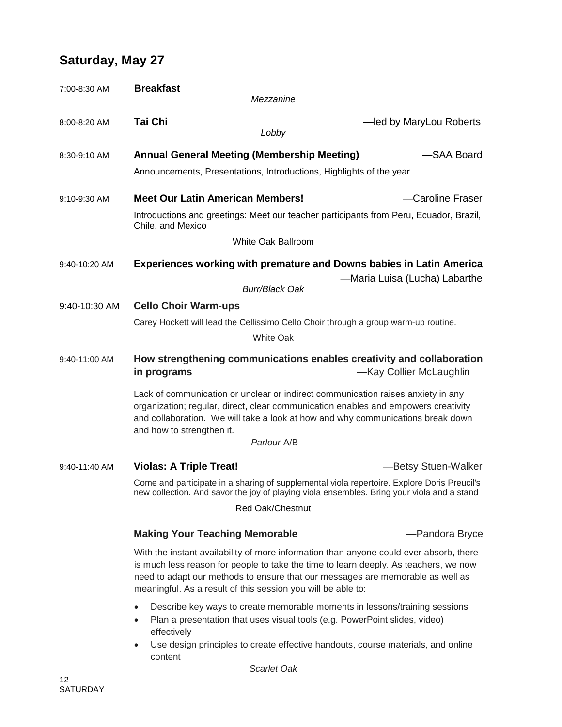# **Saturday, May 27**

| 7:00-8:30 AM  | <b>Breakfast</b><br>Mezzanine                                                                                                                                                                                                                                                                                                    |                                                                                                                                                                |
|---------------|----------------------------------------------------------------------------------------------------------------------------------------------------------------------------------------------------------------------------------------------------------------------------------------------------------------------------------|----------------------------------------------------------------------------------------------------------------------------------------------------------------|
| 8:00-8:20 AM  | <b>Tai Chi</b><br>Lobby                                                                                                                                                                                                                                                                                                          | -led by MaryLou Roberts                                                                                                                                        |
| 8:30-9:10 AM  | <b>Annual General Meeting (Membership Meeting)</b><br>Announcements, Presentations, Introductions, Highlights of the year                                                                                                                                                                                                        | -SAA Board                                                                                                                                                     |
| 9:10-9:30 AM  | <b>Meet Our Latin American Members!</b><br>Chile, and Mexico<br>White Oak Ballroom                                                                                                                                                                                                                                               | -Caroline Fraser<br>Introductions and greetings: Meet our teacher participants from Peru, Ecuador, Brazil,                                                     |
| 9:40-10:20 AM | <b>Burr/Black Oak</b>                                                                                                                                                                                                                                                                                                            | <b>Experiences working with premature and Downs babies in Latin America</b><br>–Maria Luisa (Lucha) Labarthe                                                   |
| 9:40-10:30 AM | <b>Cello Choir Warm-ups</b><br>Carey Hockett will lead the Cellissimo Cello Choir through a group warm-up routine.<br>White Oak                                                                                                                                                                                                  |                                                                                                                                                                |
| 9:40-11:00 AM | in programs                                                                                                                                                                                                                                                                                                                      | How strengthening communications enables creativity and collaboration<br>-Kay Collier McLaughlin                                                               |
|               | Lack of communication or unclear or indirect communication raises anxiety in any<br>organization; regular, direct, clear communication enables and empowers creativity<br>and collaboration. We will take a look at how and why communications break down<br>and how to strengthen it.                                           |                                                                                                                                                                |
|               | Parlour A/B                                                                                                                                                                                                                                                                                                                      |                                                                                                                                                                |
| 9:40-11:40 AM | <b>Violas: A Triple Treat!</b>                                                                                                                                                                                                                                                                                                   | -Betsy Stuen-Walker                                                                                                                                            |
|               | new collection. And savor the joy of playing viola ensembles. Bring your viola and a stand                                                                                                                                                                                                                                       | Come and participate in a sharing of supplemental viola repertoire. Explore Doris Preucil's                                                                    |
|               | Red Oak/Chestnut                                                                                                                                                                                                                                                                                                                 |                                                                                                                                                                |
|               | <b>Making Your Teaching Memorable</b>                                                                                                                                                                                                                                                                                            | -Pandora Bryce                                                                                                                                                 |
|               | With the instant availability of more information than anyone could ever absorb, there<br>is much less reason for people to take the time to learn deeply. As teachers, we now<br>need to adapt our methods to ensure that our messages are memorable as well as<br>meaningful. As a result of this session you will be able to: |                                                                                                                                                                |
|               | $\bullet$<br>Plan a presentation that uses visual tools (e.g. PowerPoint slides, video)<br>$\bullet$<br>effectively<br>٠<br>content                                                                                                                                                                                              | Describe key ways to create memorable moments in lessons/training sessions<br>Use design principles to create effective handouts, course materials, and online |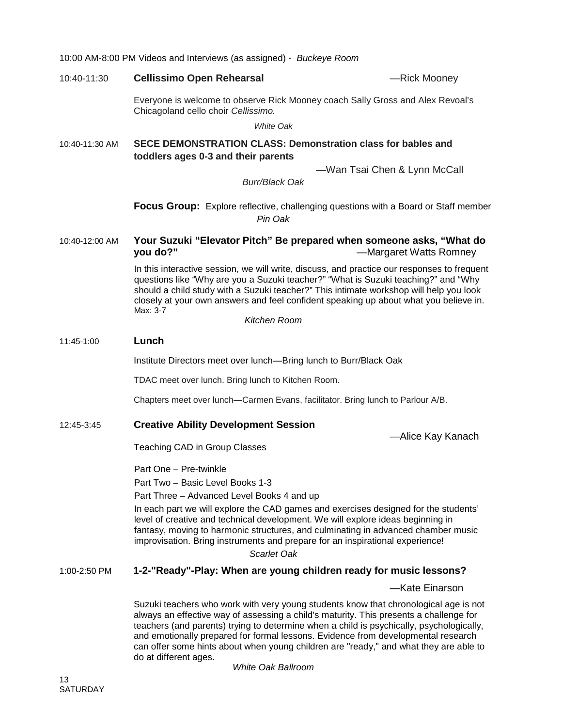|                     | 10:00 AM-8:00 PM Videos and Interviews (as assigned) - Buckeye Room                                                                                                                                                                                                                                                                                                                                                                                                               |                              |  |
|---------------------|-----------------------------------------------------------------------------------------------------------------------------------------------------------------------------------------------------------------------------------------------------------------------------------------------------------------------------------------------------------------------------------------------------------------------------------------------------------------------------------|------------------------------|--|
| 10:40-11:30         | <b>Cellissimo Open Rehearsal</b>                                                                                                                                                                                                                                                                                                                                                                                                                                                  | -Rick Mooney                 |  |
|                     | Everyone is welcome to observe Rick Mooney coach Sally Gross and Alex Revoal's<br>Chicagoland cello choir Cellissimo.                                                                                                                                                                                                                                                                                                                                                             |                              |  |
|                     | White Oak                                                                                                                                                                                                                                                                                                                                                                                                                                                                         |                              |  |
| 10:40-11:30 AM      | SECE DEMONSTRATION CLASS: Demonstration class for bables and<br>toddlers ages 0-3 and their parents                                                                                                                                                                                                                                                                                                                                                                               |                              |  |
|                     | <b>Burr/Black Oak</b>                                                                                                                                                                                                                                                                                                                                                                                                                                                             | -Wan Tsai Chen & Lynn McCall |  |
|                     | <b>Focus Group:</b> Explore reflective, challenging questions with a Board or Staff member<br>Pin Oak                                                                                                                                                                                                                                                                                                                                                                             |                              |  |
| 10:40-12:00 AM      | Your Suzuki "Elevator Pitch" Be prepared when someone asks, "What do<br>you do?"                                                                                                                                                                                                                                                                                                                                                                                                  | -Margaret Watts Romney       |  |
|                     | In this interactive session, we will write, discuss, and practice our responses to frequent<br>questions like "Why are you a Suzuki teacher?" "What is Suzuki teaching?" and "Why<br>should a child study with a Suzuki teacher?" This intimate workshop will help you look<br>closely at your own answers and feel confident speaking up about what you believe in.<br>Max: 3-7                                                                                                  |                              |  |
|                     | Kitchen Room                                                                                                                                                                                                                                                                                                                                                                                                                                                                      |                              |  |
| Lunch<br>11:45-1:00 |                                                                                                                                                                                                                                                                                                                                                                                                                                                                                   |                              |  |
|                     | Institute Directors meet over lunch-Bring lunch to Burr/Black Oak                                                                                                                                                                                                                                                                                                                                                                                                                 |                              |  |
|                     | TDAC meet over lunch. Bring lunch to Kitchen Room.                                                                                                                                                                                                                                                                                                                                                                                                                                |                              |  |
|                     | Chapters meet over lunch—Carmen Evans, facilitator. Bring lunch to Parlour A/B.                                                                                                                                                                                                                                                                                                                                                                                                   |                              |  |
| 12:45-3:45          | <b>Creative Ability Development Session</b>                                                                                                                                                                                                                                                                                                                                                                                                                                       | -Alice Kay Kanach            |  |
|                     | Teaching CAD in Group Classes                                                                                                                                                                                                                                                                                                                                                                                                                                                     |                              |  |
|                     | Part One - Pre-twinkle                                                                                                                                                                                                                                                                                                                                                                                                                                                            |                              |  |
|                     | Part Two - Basic Level Books 1-3                                                                                                                                                                                                                                                                                                                                                                                                                                                  |                              |  |
|                     | Part Three - Advanced Level Books 4 and up                                                                                                                                                                                                                                                                                                                                                                                                                                        |                              |  |
|                     | In each part we will explore the CAD games and exercises designed for the students'<br>level of creative and technical development. We will explore ideas beginning in<br>fantasy, moving to harmonic structures, and culminating in advanced chamber music<br>improvisation. Bring instruments and prepare for an inspirational experience!<br>Scarlet Oak                                                                                                                       |                              |  |
| 1:00-2:50 PM        | 1-2-"Ready"-Play: When are young children ready for music lessons?                                                                                                                                                                                                                                                                                                                                                                                                                |                              |  |
|                     |                                                                                                                                                                                                                                                                                                                                                                                                                                                                                   | -Kate Einarson               |  |
|                     | Suzuki teachers who work with very young students know that chronological age is not<br>always an effective way of assessing a child's maturity. This presents a challenge for<br>teachers (and parents) trying to determine when a child is psychically, psychologically,<br>and emotionally prepared for formal lessons. Evidence from developmental research<br>can offer some hints about when young children are "ready," and what they are able to<br>do at different ages. |                              |  |

*White Oak Ballroom*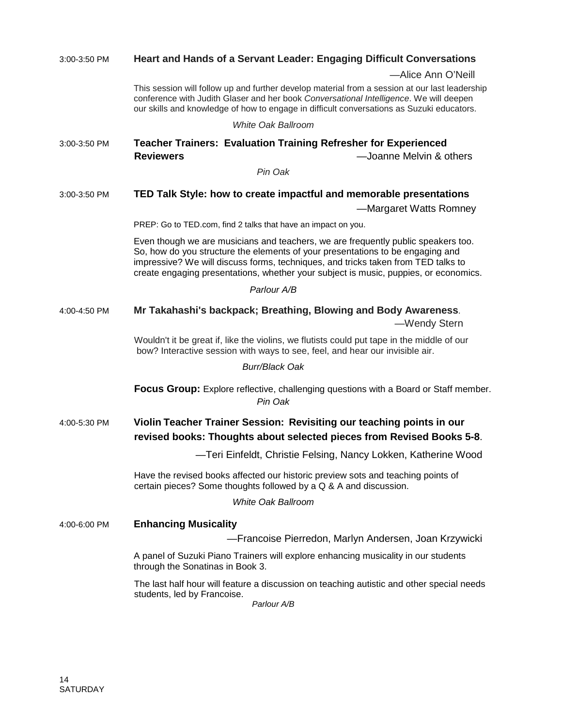| 3:00-3:50 PM | Heart and Hands of a Servant Leader: Engaging Difficult Conversations                                                                                                                                                                                                                                                                            |  |  |
|--------------|--------------------------------------------------------------------------------------------------------------------------------------------------------------------------------------------------------------------------------------------------------------------------------------------------------------------------------------------------|--|--|
|              | -Alice Ann O'Neill                                                                                                                                                                                                                                                                                                                               |  |  |
|              | This session will follow up and further develop material from a session at our last leadership<br>conference with Judith Glaser and her book Conversational Intelligence. We will deepen<br>our skills and knowledge of how to engage in difficult conversations as Suzuki educators.                                                            |  |  |
|              | <b>White Oak Ballroom</b>                                                                                                                                                                                                                                                                                                                        |  |  |
| 3:00-3:50 PM | <b>Teacher Trainers: Evaluation Training Refresher for Experienced</b><br><b>Reviewers</b><br>-Joanne Melvin & others                                                                                                                                                                                                                            |  |  |
|              | Pin Oak                                                                                                                                                                                                                                                                                                                                          |  |  |
| 3:00-3:50 PM | TED Talk Style: how to create impactful and memorable presentations                                                                                                                                                                                                                                                                              |  |  |
|              | -Margaret Watts Romney                                                                                                                                                                                                                                                                                                                           |  |  |
|              | PREP: Go to TED.com, find 2 talks that have an impact on you.                                                                                                                                                                                                                                                                                    |  |  |
|              | Even though we are musicians and teachers, we are frequently public speakers too.<br>So, how do you structure the elements of your presentations to be engaging and<br>impressive? We will discuss forms, techniques, and tricks taken from TED talks to<br>create engaging presentations, whether your subject is music, puppies, or economics. |  |  |
|              | Parlour A/B                                                                                                                                                                                                                                                                                                                                      |  |  |
| 4:00-4:50 PM | Mr Takahashi's backpack; Breathing, Blowing and Body Awareness.<br>-Wendy Stern                                                                                                                                                                                                                                                                  |  |  |
|              | Wouldn't it be great if, like the violins, we flutists could put tape in the middle of our<br>bow? Interactive session with ways to see, feel, and hear our invisible air.                                                                                                                                                                       |  |  |
|              | <b>Burr/Black Oak</b>                                                                                                                                                                                                                                                                                                                            |  |  |
|              | <b>Focus Group:</b> Explore reflective, challenging questions with a Board or Staff member.<br>Pin Oak                                                                                                                                                                                                                                           |  |  |
| 4:00-5:30 PM | Violin Teacher Trainer Session: Revisiting our teaching points in our<br>revised books: Thoughts about selected pieces from Revised Books 5-8.                                                                                                                                                                                                   |  |  |
|              | -Teri Einfeldt, Christie Felsing, Nancy Lokken, Katherine Wood                                                                                                                                                                                                                                                                                   |  |  |
|              | Have the revised books affected our historic preview sots and teaching points of<br>certain pieces? Some thoughts followed by a Q & A and discussion.<br><b>White Oak Ballroom</b>                                                                                                                                                               |  |  |
|              |                                                                                                                                                                                                                                                                                                                                                  |  |  |
| 4:00-6:00 PM | <b>Enhancing Musicality</b><br>- Francoise Pierredon, Marlyn Andersen, Joan Krzywicki                                                                                                                                                                                                                                                            |  |  |
|              |                                                                                                                                                                                                                                                                                                                                                  |  |  |
|              | A panel of Suzuki Piano Trainers will explore enhancing musicality in our students<br>through the Sonatinas in Book 3.                                                                                                                                                                                                                           |  |  |
|              | The last half hour will feature a discussion on teaching autistic and other special needs<br>students, led by Francoise.<br>Parlour A/B                                                                                                                                                                                                          |  |  |
|              |                                                                                                                                                                                                                                                                                                                                                  |  |  |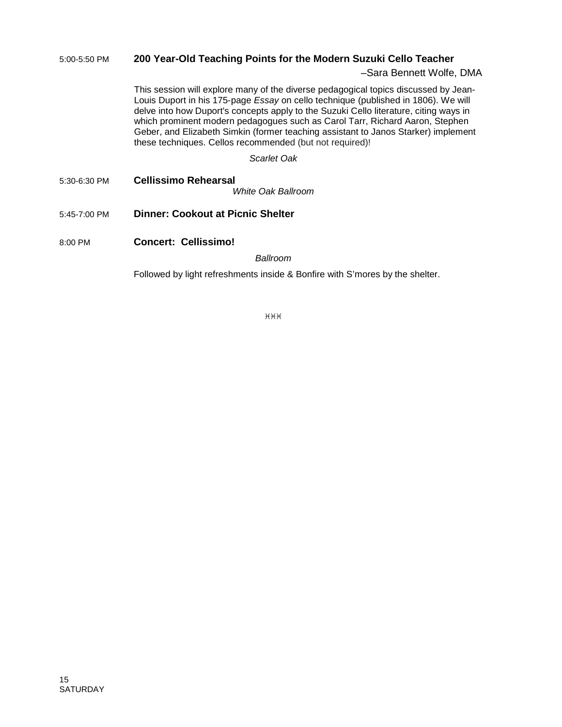#### 5:00-5:50 PM **200 Year-Old Teaching Points for the Modern Suzuki Cello Teacher**

#### –Sara Bennett Wolfe, DMA

This session will explore many of the diverse pedagogical topics discussed by Jean-Louis Duport in his 175-page *Essay* on cello technique (published in 1806). We will delve into how Duport's concepts apply to the Suzuki Cello literature, citing ways in which prominent modern pedagogues such as Carol Tarr, Richard Aaron, Stephen Geber, and Elizabeth Simkin (former teaching assistant to Janos Starker) implement these techniques. Cellos recommended (but not required)!

*Scarlet Oak*

5:30-6:30 PM **Cellissimo Rehearsal**

*White Oak Ballroom*

- 5:45-7:00 PM **Dinner: Cookout at Picnic Shelter**
- 8:00 PM **Concert: Cellissimo!**

*Ballroom*

Followed by light refreshments inside & Bonfire with S'mores by the shelter.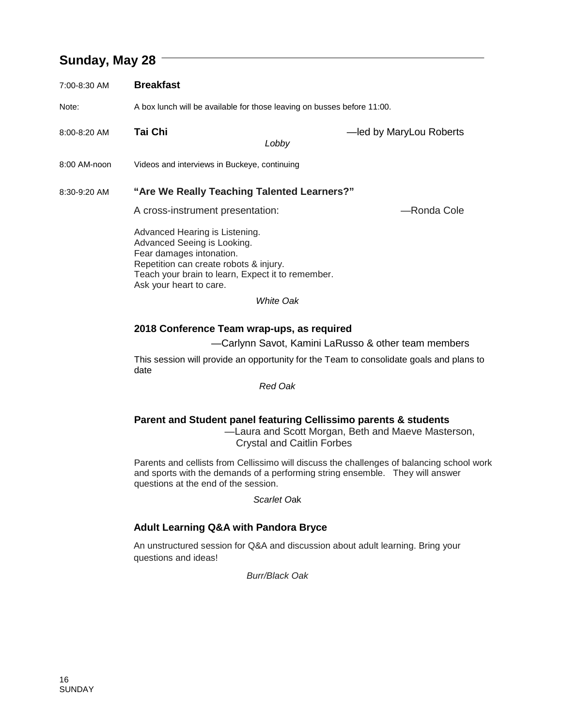## **Sunday, May 28**

| 7:00-8:30 AM | <b>Breakfast</b>                                                                                                                                                                                                    |                                                     |  |
|--------------|---------------------------------------------------------------------------------------------------------------------------------------------------------------------------------------------------------------------|-----------------------------------------------------|--|
| Note:        | A box lunch will be available for those leaving on busses before 11:00.                                                                                                                                             |                                                     |  |
| 8:00-8:20 AM | Tai Chi<br>Lobby                                                                                                                                                                                                    | -led by MaryLou Roberts                             |  |
| 8:00 AM-noon | Videos and interviews in Buckeye, continuing                                                                                                                                                                        |                                                     |  |
| 8:30-9:20 AM | "Are We Really Teaching Talented Learners?"<br>A cross-instrument presentation:                                                                                                                                     | -Ronda Cole                                         |  |
|              | Advanced Hearing is Listening.<br>Advanced Seeing is Looking.<br>Fear damages intonation.<br>Repetition can create robots & injury.<br>Teach your brain to learn, Expect it to remember.<br>Ask your heart to care. |                                                     |  |
|              | White Oak                                                                                                                                                                                                           |                                                     |  |
|              | 2018 Conference Team wrap-ups, as required                                                                                                                                                                          | —Carlynn Savot, Kamini LaRusso & other team members |  |

This session will provide an opportunity for the Team to consolidate goals and plans to date

*Red Oak*

#### **Parent and Student panel featuring Cellissimo parents & students**

—Laura and Scott Morgan, Beth and Maeve Masterson, Crystal and Caitlin Forbes

Parents and cellists from Cellissimo will discuss the challenges of balancing school work and sports with the demands of a performing string ensemble. They will answer questions at the end of the session.

*Scarlet O*ak

### **Adult Learning Q&A with Pandora Bryce**

An unstructured session for Q&A and discussion about adult learning. Bring your questions and ideas!

*Burr/Black Oak*